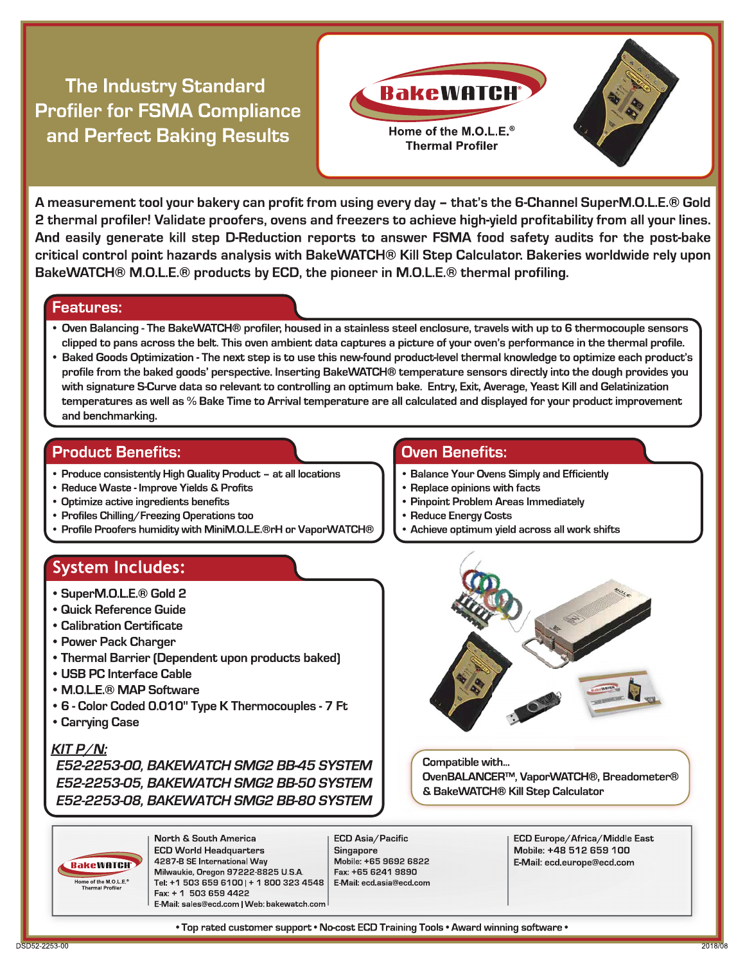**The Industry Standard Profiler for FSMA Compliance** and Perfect Baking Results



A measurement tool your bakery can profit from using every day – that's the 6-Channel SuperM.O.L.E.® Gold 2 thermal profiler! Validate proofers, ovens and freezers to achieve high-yield profitability from all your lines. And easily generate kill step D-Reduction reports to answer FSMA food safety audits for the post-bake critical control point hazards analysis with BakeWATCH® Kill Step Calculator. Bakeries worldwide rely upon BakeWATCH® M.O.L.E.® products by ECD, the pioneer in M.O.L.E.® thermal profiling.

#### **Features:**

- Oven Balancing The BakeWATCH® profiler, housed in a stainless steel enclosure, travels with up to 6 thermocouple sensors clipped to pans across the belt. This oven ambient data captures a picture of your oven's performance in the thermal profile.
- Baked Goods Optimization The next step is to use this new-found product-level thermal knowledge to optimize each product's profile from the baked goods' perspective. Inserting BakeWATCH® temperature sensors directly into the dough provides you with signature S-Curve data so relevant to controlling an optimum bake. Entry, Exit, Average, Yeast Kill and Gelatinization temperatures as well as % Bake Time to Arrival temperature are all calculated and displayed for your product improvement and benchmarking.

#### **Product Benefits:**

- Produce consistently High Quality Product at all locations
- Reduce Waste Improve Yields & Profits
- Optimize active ingredients benefits
- Profiles Chilling/Freezing Operations too
- Profile Proofers humidity with MiniM.O.L.E.®rH or VaporWATCH®

### **System Includes:**

- SuperM.O.L.E.<sup>®</sup> Gold 2
- **Quick Reference Guide**
- Calibration Certificate
- Power Pack Charger
- Thermal Barrier (Dependent upon products baked)
- USB PC Interface Cable
- M.O.L.E.<sup>®</sup> MAP Software
- 6 Color Coded 0.010" Type K Thermocouples 7 Ft
- Carrying Case

#### $KIT P/N:$

E52-2253-00, BAKEWATCH SMG2 BB-45 SYSTEM E52-2253-05, BAKEWATCH SMG2 BB-50 SYSTEM E52-2253-08. BAKEWATCH SMG2 BB-80 SYSTEM

**Oven Benefits:** 

- Balance Your Ovens Simply and Efficiently
- Replace opinions with facts
- Pinpoint Problem Areas Immediately
- Reduce Energy Costs
- Achieve optimum yield across all work shifts



Compatible with... OvenBALANCER™, VaporWATCH®, Breadometer® & BakeWATCH® Kill Step Calculator

**BakeWATCH** Home of the M.O.L.E.<sup>®</sup><br>Thermal Profiler

North & South America **ECD World Headquarters** 4287 B SE International Way Milwaukie, Oregon 97222-8825 U.S.A. Tel: +1 503 659 6100 | + 1 800 323 4548 | Fax: + 1 503 659 4422 E-Mail: sales@ecd.com | Web: bakewatch.com

ECD Asia/Pacific Singapore Mobile: +65 9692 6822 Fax: +65 6241 9890 E-Mail: ecd.asia@ecd.com ECD Europe/Africa/Middle East Mobile: +48 512 659 100 E-Mail: ecd.europe@ecd.com

. Top rated customer support . No-cost ECD Training Tools . Award winning software .